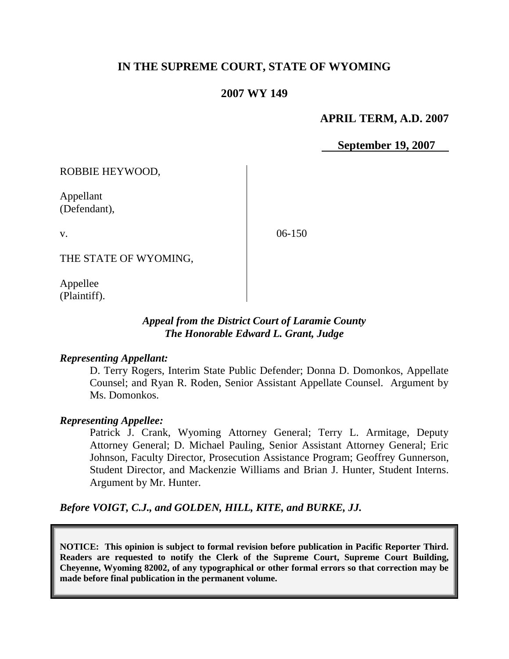# **IN THE SUPREME COURT, STATE OF WYOMING**

# **2007 WY 149**

### **APRIL TERM, A.D. 2007**

 **September 19, 2007**

ROBBIE HEYWOOD,

Appellant (Defendant),

v.

06-150

THE STATE OF WYOMING,

Appellee (Plaintiff).

# *Appeal from the District Court of Laramie County The Honorable Edward L. Grant, Judge*

#### *Representing Appellant:*

D. Terry Rogers, Interim State Public Defender; Donna D. Domonkos, Appellate Counsel; and Ryan R. Roden, Senior Assistant Appellate Counsel. Argument by Ms. Domonkos.

### *Representing Appellee:*

Patrick J. Crank, Wyoming Attorney General; Terry L. Armitage, Deputy Attorney General; D. Michael Pauling, Senior Assistant Attorney General; Eric Johnson, Faculty Director, Prosecution Assistance Program; Geoffrey Gunnerson, Student Director, and Mackenzie Williams and Brian J. Hunter, Student Interns. Argument by Mr. Hunter.

*Before VOIGT, C.J., and GOLDEN, HILL, KITE, and BURKE, JJ.*

**NOTICE: This opinion is subject to formal revision before publication in Pacific Reporter Third. Readers are requested to notify the Clerk of the Supreme Court, Supreme Court Building, Cheyenne, Wyoming 82002, of any typographical or other formal errors so that correction may be made before final publication in the permanent volume.**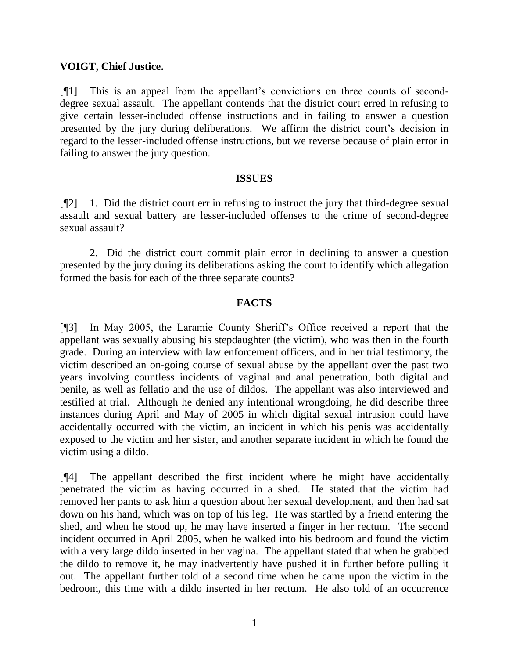### **VOIGT, Chief Justice.**

[¶1] This is an appeal from the appellant's convictions on three counts of seconddegree sexual assault. The appellant contends that the district court erred in refusing to give certain lesser-included offense instructions and in failing to answer a question presented by the jury during deliberations. We affirm the district court's decision in regard to the lesser-included offense instructions, but we reverse because of plain error in failing to answer the jury question.

#### **ISSUES**

[¶2] 1. Did the district court err in refusing to instruct the jury that third-degree sexual assault and sexual battery are lesser-included offenses to the crime of second-degree sexual assault?

2. Did the district court commit plain error in declining to answer a question presented by the jury during its deliberations asking the court to identify which allegation formed the basis for each of the three separate counts?

### **FACTS**

[¶3] In May 2005, the Laramie County Sheriff's Office received a report that the appellant was sexually abusing his stepdaughter (the victim), who was then in the fourth grade. During an interview with law enforcement officers, and in her trial testimony, the victim described an on-going course of sexual abuse by the appellant over the past two years involving countless incidents of vaginal and anal penetration, both digital and penile, as well as fellatio and the use of dildos. The appellant was also interviewed and testified at trial. Although he denied any intentional wrongdoing, he did describe three instances during April and May of 2005 in which digital sexual intrusion could have accidentally occurred with the victim, an incident in which his penis was accidentally exposed to the victim and her sister, and another separate incident in which he found the victim using a dildo.

[¶4] The appellant described the first incident where he might have accidentally penetrated the victim as having occurred in a shed. He stated that the victim had removed her pants to ask him a question about her sexual development, and then had sat down on his hand, which was on top of his leg. He was startled by a friend entering the shed, and when he stood up, he may have inserted a finger in her rectum. The second incident occurred in April 2005, when he walked into his bedroom and found the victim with a very large dildo inserted in her vagina. The appellant stated that when he grabbed the dildo to remove it, he may inadvertently have pushed it in further before pulling it out. The appellant further told of a second time when he came upon the victim in the bedroom, this time with a dildo inserted in her rectum. He also told of an occurrence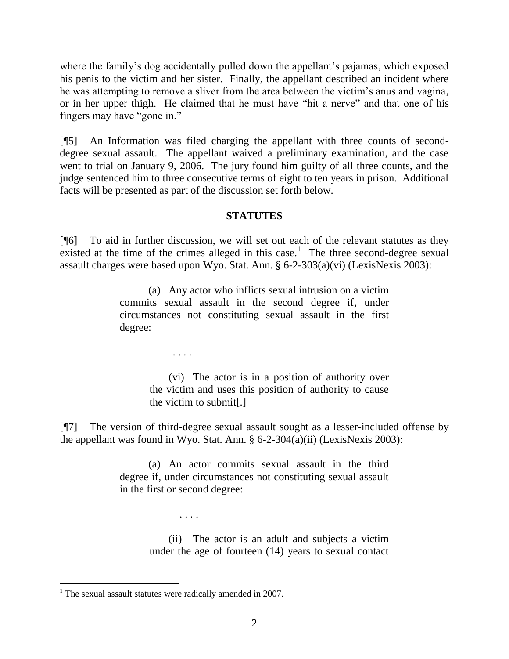where the family's dog accidentally pulled down the appellant's pajamas, which exposed his penis to the victim and her sister. Finally, the appellant described an incident where he was attempting to remove a sliver from the area between the victim's anus and vagina, or in her upper thigh. He claimed that he must have "hit a nerve" and that one of his fingers may have "gone in."

[¶5] An Information was filed charging the appellant with three counts of seconddegree sexual assault. The appellant waived a preliminary examination, and the case went to trial on January 9, 2006. The jury found him guilty of all three counts, and the judge sentenced him to three consecutive terms of eight to ten years in prison. Additional facts will be presented as part of the discussion set forth below.

# **STATUTES**

[¶6] To aid in further discussion, we will set out each of the relevant statutes as they existed at the time of the crimes alleged in this case.<sup>1</sup> The three second-degree sexual assault charges were based upon Wyo. Stat. Ann. § 6-2-303(a)(vi) (LexisNexis 2003):

> (a) Any actor who inflicts sexual intrusion on a victim commits sexual assault in the second degree if, under circumstances not constituting sexual assault in the first degree:

> > . . . .

(vi) The actor is in a position of authority over the victim and uses this position of authority to cause the victim to submit[.]

[¶7] The version of third-degree sexual assault sought as a lesser-included offense by the appellant was found in Wyo. Stat. Ann. § 6-2-304(a)(ii) (LexisNexis 2003):

> (a) An actor commits sexual assault in the third degree if, under circumstances not constituting sexual assault in the first or second degree:

> > (ii) The actor is an adult and subjects a victim under the age of fourteen (14) years to sexual contact

 $\overline{a}$ 

. . . .

 $1$  The sexual assault statutes were radically amended in 2007.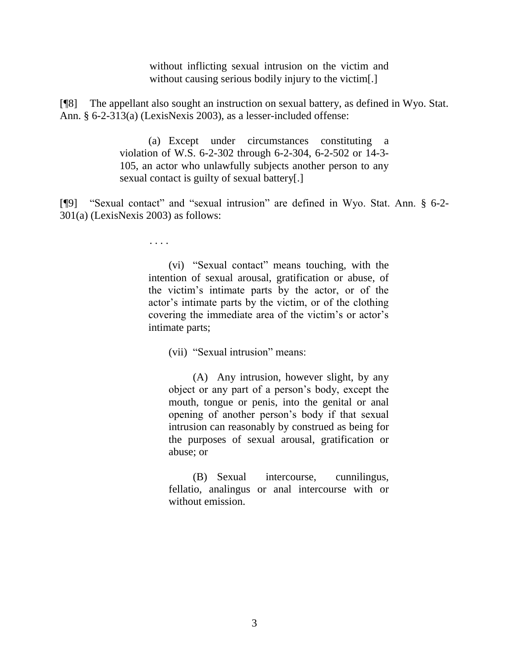without inflicting sexual intrusion on the victim and without causing serious bodily injury to the victim.

[¶8] The appellant also sought an instruction on sexual battery, as defined in Wyo. Stat. Ann. § 6-2-313(a) (LexisNexis 2003), as a lesser-included offense:

> (a) Except under circumstances constituting a violation of W.S. 6-2-302 through 6-2-304, 6-2-502 or 14-3- 105, an actor who unlawfully subjects another person to any sexual contact is guilty of sexual battery[.]

[¶9] "Sexual contact" and "sexual intrusion" are defined in Wyo. Stat. Ann. § 6-2-301(a) (LexisNexis 2003) as follows:

. . . .

(vi) "Sexual contact" means touching, with the intention of sexual arousal, gratification or abuse, of the victim's intimate parts by the actor, or of the actor's intimate parts by the victim, or of the clothing covering the immediate area of the victim's or actor's intimate parts;

(vii) "Sexual intrusion" means:

(A) Any intrusion, however slight, by any object or any part of a person's body, except the mouth, tongue or penis, into the genital or anal opening of another person's body if that sexual intrusion can reasonably by construed as being for the purposes of sexual arousal, gratification or abuse; or

(B) Sexual intercourse, cunnilingus, fellatio, analingus or anal intercourse with or without emission.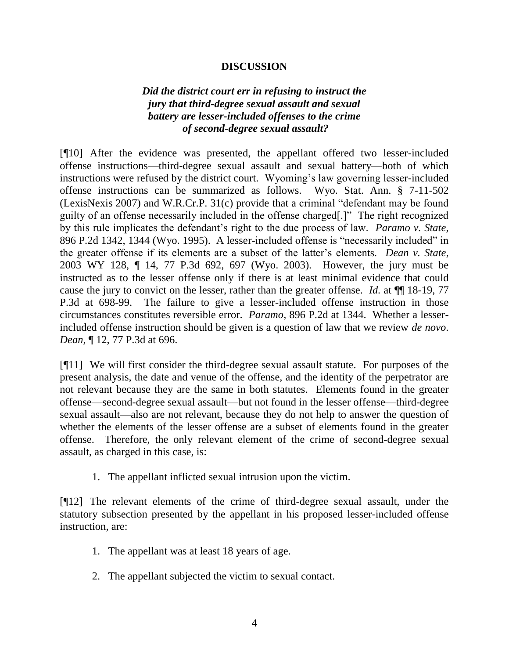### **DISCUSSION**

# *Did the district court err in refusing to instruct the jury that third-degree sexual assault and sexual battery are lesser-included offenses to the crime of second-degree sexual assault?*

[¶10] After the evidence was presented, the appellant offered two lesser-included offense instructions—third-degree sexual assault and sexual battery—both of which instructions were refused by the district court. Wyoming's law governing lesser-included offense instructions can be summarized as follows. Wyo. Stat. Ann. § 7-11-502  $(LexisNext is 2007)$  and W.R.Cr.P.  $31(c)$  provide that a criminal "defendant may be found guilty of an offense necessarily included in the offense charged[.]‖ The right recognized by this rule implicates the defendant's right to the due process of law. *Paramo v. State*, 896 P.2d 1342, 1344 (Wyo. 1995). A lesser-included offense is "necessarily included" in the greater offense if its elements are a subset of the latter's elements. *Dean v. State*, 2003 WY 128, ¶ 14, 77 P.3d 692, 697 (Wyo. 2003). However, the jury must be instructed as to the lesser offense only if there is at least minimal evidence that could cause the jury to convict on the lesser, rather than the greater offense. *Id.* at ¶¶ 18-19, 77 P.3d at 698-99. The failure to give a lesser-included offense instruction in those circumstances constitutes reversible error. *Paramo*, 896 P.2d at 1344. Whether a lesserincluded offense instruction should be given is a question of law that we review *de novo*. *Dean*, ¶ 12, 77 P.3d at 696.

[¶11] We will first consider the third-degree sexual assault statute. For purposes of the present analysis, the date and venue of the offense, and the identity of the perpetrator are not relevant because they are the same in both statutes. Elements found in the greater offense—second-degree sexual assault—but not found in the lesser offense—third-degree sexual assault—also are not relevant, because they do not help to answer the question of whether the elements of the lesser offense are a subset of elements found in the greater offense. Therefore, the only relevant element of the crime of second-degree sexual assault, as charged in this case, is:

1. The appellant inflicted sexual intrusion upon the victim.

[¶12] The relevant elements of the crime of third-degree sexual assault, under the statutory subsection presented by the appellant in his proposed lesser-included offense instruction, are:

- 1. The appellant was at least 18 years of age.
- 2. The appellant subjected the victim to sexual contact.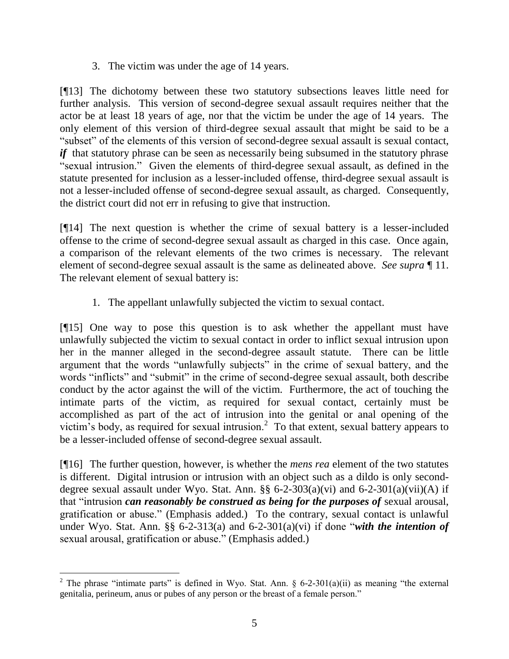3. The victim was under the age of 14 years.

[¶13] The dichotomy between these two statutory subsections leaves little need for further analysis. This version of second-degree sexual assault requires neither that the actor be at least 18 years of age, nor that the victim be under the age of 14 years. The only element of this version of third-degree sexual assault that might be said to be a "subset" of the elements of this version of second-degree sexual assault is sexual contact, *if* that statutory phrase can be seen as necessarily being subsumed in the statutory phrase "sexual intrusion." Given the elements of third-degree sexual assault, as defined in the statute presented for inclusion as a lesser-included offense, third-degree sexual assault is not a lesser-included offense of second-degree sexual assault, as charged. Consequently, the district court did not err in refusing to give that instruction.

[¶14] The next question is whether the crime of sexual battery is a lesser-included offense to the crime of second-degree sexual assault as charged in this case. Once again, a comparison of the relevant elements of the two crimes is necessary. The relevant element of second-degree sexual assault is the same as delineated above. *See supra* ¶ 11. The relevant element of sexual battery is:

1. The appellant unlawfully subjected the victim to sexual contact.

[¶15] One way to pose this question is to ask whether the appellant must have unlawfully subjected the victim to sexual contact in order to inflict sexual intrusion upon her in the manner alleged in the second-degree assault statute. There can be little argument that the words "unlawfully subjects" in the crime of sexual battery, and the words "inflicts" and "submit" in the crime of second-degree sexual assault, both describe conduct by the actor against the will of the victim. Furthermore, the act of touching the intimate parts of the victim, as required for sexual contact, certainly must be accomplished as part of the act of intrusion into the genital or anal opening of the victim's body, as required for sexual intrusion.<sup>2</sup> To that extent, sexual battery appears to be a lesser-included offense of second-degree sexual assault.

[¶16] The further question, however, is whether the *mens rea* element of the two statutes is different. Digital intrusion or intrusion with an object such as a dildo is only seconddegree sexual assault under Wyo. Stat. Ann.  $\S\S 6$ -2-303(a)(vi) and 6-2-301(a)(vii)(A) if that "intrusion *can reasonably be construed as being for the purposes of* sexual arousal, gratification or abuse." (Emphasis added.) To the contrary, sexual contact is unlawful under Wyo. Stat. Ann.  $\S$ § 6-2-313(a) and 6-2-301(a)(vi) if done "*with the intention of* sexual arousal, gratification or abuse." (Emphasis added.)

 <sup>2</sup> The phrase "intimate parts" is defined in Wyo. Stat. Ann. § 6-2-301(a)(ii) as meaning "the external genitalia, perineum, anus or pubes of any person or the breast of a female person."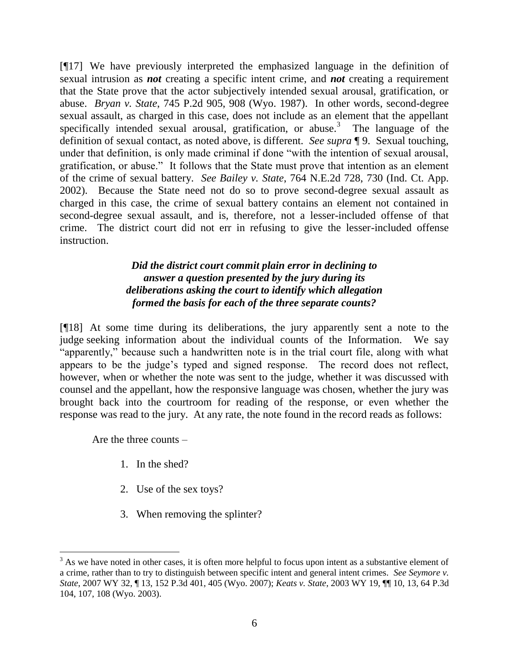[¶17] We have previously interpreted the emphasized language in the definition of sexual intrusion as *not* creating a specific intent crime, and *not* creating a requirement that the State prove that the actor subjectively intended sexual arousal, gratification, or abuse. *Bryan v. State*, 745 P.2d 905, 908 (Wyo. 1987). In other words, second-degree sexual assault, as charged in this case, does not include as an element that the appellant specifically intended sexual arousal, gratification, or abuse.<sup>3</sup> The language of the definition of sexual contact, as noted above, is different. *See supra* ¶ 9. Sexual touching, under that definition, is only made criminal if done "with the intention of sexual arousal, gratification, or abuse." It follows that the State must prove that intention as an element of the crime of sexual battery. *See Bailey v. State*, 764 N.E.2d 728, 730 (Ind. Ct. App. 2002). Because the State need not do so to prove second-degree sexual assault as charged in this case, the crime of sexual battery contains an element not contained in second-degree sexual assault, and is, therefore, not a lesser-included offense of that crime. The district court did not err in refusing to give the lesser-included offense instruction.

# *Did the district court commit plain error in declining to answer a question presented by the jury during its deliberations asking the court to identify which allegation formed the basis for each of the three separate counts?*

[¶18] At some time during its deliberations, the jury apparently sent a note to the judge seeking information about the individual counts of the Information. We say "apparently," because such a handwritten note is in the trial court file, along with what appears to be the judge's typed and signed response. The record does not reflect, however, when or whether the note was sent to the judge, whether it was discussed with counsel and the appellant, how the responsive language was chosen, whether the jury was brought back into the courtroom for reading of the response, or even whether the response was read to the jury. At any rate, the note found in the record reads as follows:

Are the three counts –

 $\overline{a}$ 

- 1. In the shed?
- 2. Use of the sex toys?
- 3. When removing the splinter?

 $3$  As we have noted in other cases, it is often more helpful to focus upon intent as a substantive element of a crime, rather than to try to distinguish between specific intent and general intent crimes. *See Seymore v. State*, 2007 WY 32, ¶ 13, 152 P.3d 401, 405 (Wyo. 2007); *Keats v. State*, 2003 WY 19, ¶¶ 10, 13, 64 P.3d 104, 107, 108 (Wyo. 2003).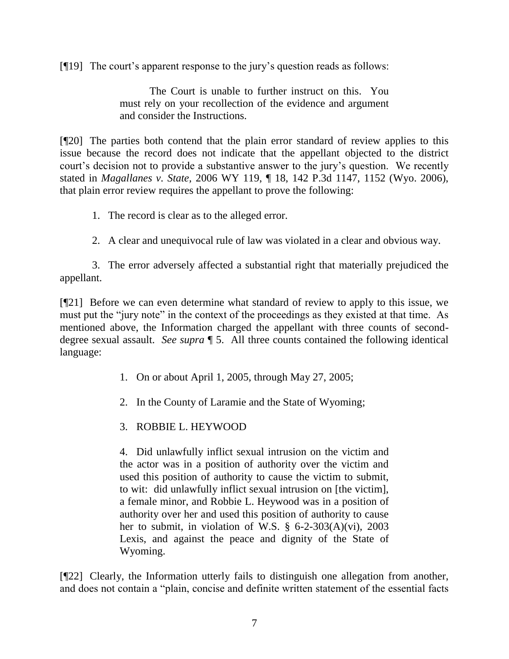[¶19] The court's apparent response to the jury's question reads as follows:

The Court is unable to further instruct on this. You must rely on your recollection of the evidence and argument and consider the Instructions.

[¶20] The parties both contend that the plain error standard of review applies to this issue because the record does not indicate that the appellant objected to the district court's decision not to provide a substantive answer to the jury's question. We recently stated in *Magallanes v. State,* 2006 WY 119, ¶ 18, 142 P.3d 1147, 1152 (Wyo. 2006), that plain error review requires the appellant to prove the following:

1. The record is clear as to the alleged error.

2. A clear and unequivocal rule of law was violated in a clear and obvious way.

3. The error adversely affected a substantial right that materially prejudiced the appellant.

[¶21] Before we can even determine what standard of review to apply to this issue, we must put the "jury note" in the context of the proceedings as they existed at that time. As mentioned above, the Information charged the appellant with three counts of seconddegree sexual assault. *See supra* ¶ 5. All three counts contained the following identical language:

- 1. On or about April 1, 2005, through May 27, 2005;
- 2. In the County of Laramie and the State of Wyoming;
- 3. ROBBIE L. HEYWOOD

4. Did unlawfully inflict sexual intrusion on the victim and the actor was in a position of authority over the victim and used this position of authority to cause the victim to submit, to wit: did unlawfully inflict sexual intrusion on [the victim], a female minor, and Robbie L. Heywood was in a position of authority over her and used this position of authority to cause her to submit, in violation of W.S. § 6-2-303(A)(vi), 2003 Lexis, and against the peace and dignity of the State of Wyoming.

[¶22] Clearly, the Information utterly fails to distinguish one allegation from another, and does not contain a "plain, concise and definite written statement of the essential facts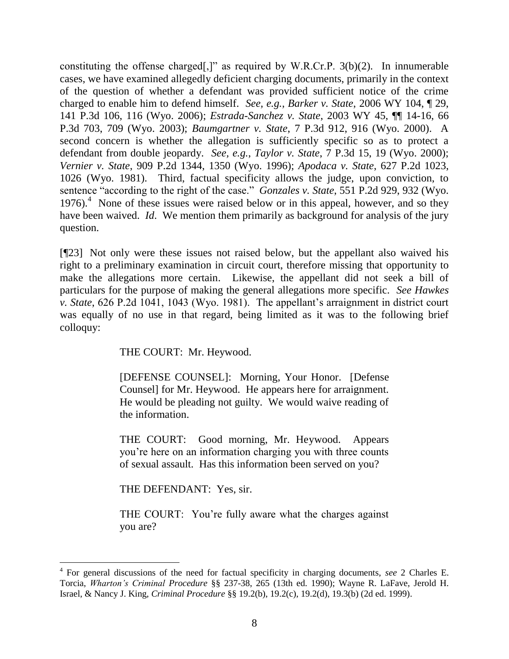constituting the offense charged[,]" as required by W.R.Cr.P.  $3(b)(2)$ . In innumerable cases, we have examined allegedly deficient charging documents, primarily in the context of the question of whether a defendant was provided sufficient notice of the crime charged to enable him to defend himself. *See, e.g., Barker v. State*, 2006 WY 104, ¶ 29, 141 P.3d 106, 116 (Wyo. 2006); *Estrada-Sanchez v. State*, 2003 WY 45, ¶¶ 14-16, 66 P.3d 703, 709 (Wyo. 2003); *Baumgartner v. State*, 7 P.3d 912, 916 (Wyo. 2000). A second concern is whether the allegation is sufficiently specific so as to protect a defendant from double jeopardy. *See, e.g.*, *Taylor v. State*, 7 P.3d 15, 19 (Wyo. 2000); *Vernier v. State*, 909 P.2d 1344, 1350 (Wyo. 1996); *Apodaca v. State*, 627 P.2d 1023, 1026 (Wyo. 1981). Third, factual specificity allows the judge, upon conviction, to sentence "according to the right of the case." *Gonzales v. State*, 551 P.2d 929, 932 (Wyo. 1976).<sup>4</sup> None of these issues were raised below or in this appeal, however, and so they have been waived. *Id*. We mention them primarily as background for analysis of the jury question.

[¶23] Not only were these issues not raised below, but the appellant also waived his right to a preliminary examination in circuit court, therefore missing that opportunity to make the allegations more certain. Likewise, the appellant did not seek a bill of particulars for the purpose of making the general allegations more specific. *See Hawkes v. State*, 626 P.2d 1041, 1043 (Wyo. 1981). The appellant's arraignment in district court was equally of no use in that regard, being limited as it was to the following brief colloquy:

THE COURT: Mr. Heywood.

[DEFENSE COUNSEL]: Morning, Your Honor. [Defense Counsel] for Mr. Heywood. He appears here for arraignment. He would be pleading not guilty. We would waive reading of the information.

THE COURT: Good morning, Mr. Heywood. Appears you're here on an information charging you with three counts of sexual assault. Has this information been served on you?

THE DEFENDANT: Yes, sir.

THE COURT: You're fully aware what the charges against you are?

<sup>4</sup> For general discussions of the need for factual specificity in charging documents, *see* 2 Charles E. Torcia, *Wharton's Criminal Procedure* §§ 237-38, 265 (13th ed. 1990); Wayne R. LaFave, Jerold H. Israel, & Nancy J. King, *Criminal Procedure* §§ 19.2(b), 19.2(c), 19.2(d), 19.3(b) (2d ed. 1999).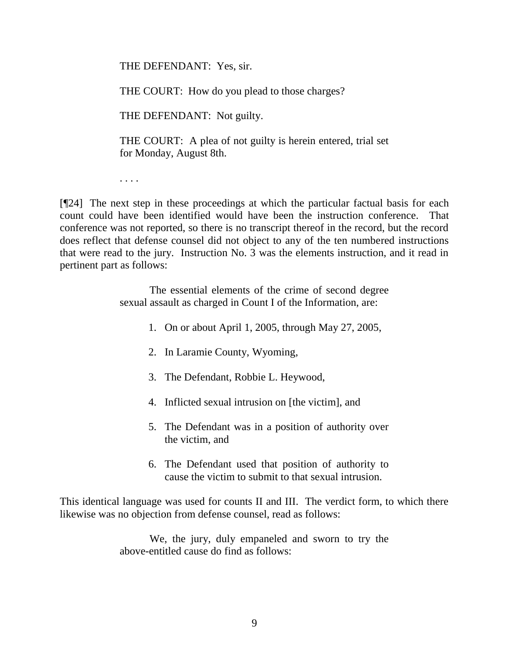THE DEFENDANT: Yes, sir.

THE COURT: How do you plead to those charges?

THE DEFENDANT: Not guilty.

THE COURT: A plea of not guilty is herein entered, trial set for Monday, August 8th.

. . . .

[¶24] The next step in these proceedings at which the particular factual basis for each count could have been identified would have been the instruction conference. That conference was not reported, so there is no transcript thereof in the record, but the record does reflect that defense counsel did not object to any of the ten numbered instructions that were read to the jury. Instruction No. 3 was the elements instruction, and it read in pertinent part as follows:

> The essential elements of the crime of second degree sexual assault as charged in Count I of the Information, are:

- 1. On or about April 1, 2005, through May 27, 2005,
- 2. In Laramie County, Wyoming,
- 3. The Defendant, Robbie L. Heywood,
- 4. Inflicted sexual intrusion on [the victim], and
- 5. The Defendant was in a position of authority over the victim, and
- 6. The Defendant used that position of authority to cause the victim to submit to that sexual intrusion.

This identical language was used for counts II and III. The verdict form, to which there likewise was no objection from defense counsel, read as follows:

> We, the jury, duly empaneled and sworn to try the above-entitled cause do find as follows: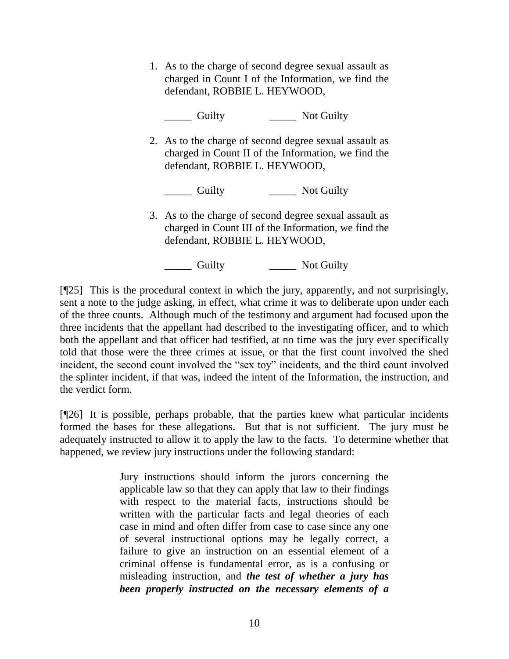1. As to the charge of second degree sexual assault as charged in Count I of the Information, we find the defendant, ROBBIE L. HEYWOOD,

\_\_\_\_\_ Guilty \_\_\_\_\_ Not Guilty

2. As to the charge of second degree sexual assault as charged in Count II of the Information, we find the defendant, ROBBIE L. HEYWOOD,

\_\_\_\_\_ Guilty \_\_\_\_\_ Not Guilty

3. As to the charge of second degree sexual assault as charged in Count III of the Information, we find the defendant, ROBBIE L. HEYWOOD,

\_\_\_\_\_ Guilty \_\_\_\_\_ Not Guilty

[¶25] This is the procedural context in which the jury, apparently, and not surprisingly, sent a note to the judge asking, in effect, what crime it was to deliberate upon under each of the three counts. Although much of the testimony and argument had focused upon the three incidents that the appellant had described to the investigating officer, and to which both the appellant and that officer had testified, at no time was the jury ever specifically told that those were the three crimes at issue, or that the first count involved the shed incident, the second count involved the "sex toy" incidents, and the third count involved the splinter incident, if that was, indeed the intent of the Information, the instruction, and the verdict form.

[¶26] It is possible, perhaps probable, that the parties knew what particular incidents formed the bases for these allegations. But that is not sufficient. The jury must be adequately instructed to allow it to apply the law to the facts. To determine whether that happened, we review jury instructions under the following standard:

> Jury instructions should inform the jurors concerning the applicable law so that they can apply that law to their findings with respect to the material facts, instructions should be written with the particular facts and legal theories of each case in mind and often differ from case to case since any one of several instructional options may be legally correct, a failure to give an instruction on an essential element of a criminal offense is fundamental error, as is a confusing or misleading instruction, and *the test of whether a jury has been properly instructed on the necessary elements of a*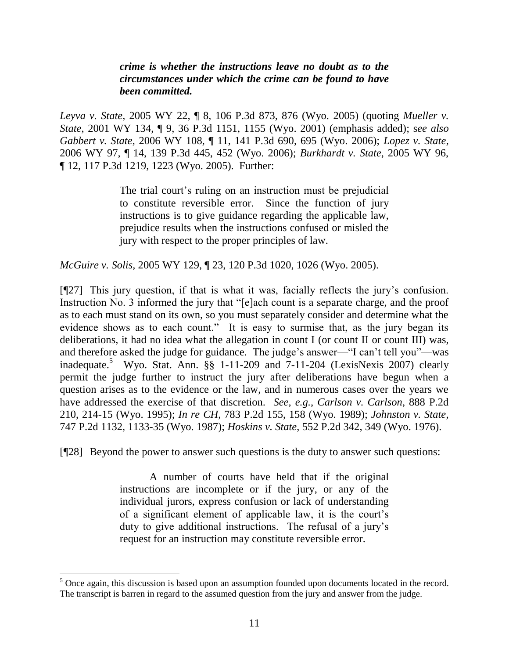## *crime is whether the instructions leave no doubt as to the circumstances under which the crime can be found to have been committed.*

*Leyva v. State*, 2005 WY 22, ¶ 8, 106 P.3d 873, 876 (Wyo. 2005) (quoting *Mueller v. State*, 2001 WY 134, ¶ 9, 36 P.3d 1151, 1155 (Wyo. 2001) (emphasis added); s*ee also Gabbert v. State*, 2006 WY 108, ¶ 11, 141 P.3d 690, 695 (Wyo. 2006); *Lopez v. State*, 2006 WY 97, ¶ 14, 139 P.3d 445, 452 (Wyo. 2006); *Burkhardt v. State*, 2005 WY 96, ¶ 12, 117 P.3d 1219, 1223 (Wyo. 2005). Further:

> The trial court's ruling on an instruction must be prejudicial to constitute reversible error. Since the function of jury instructions is to give guidance regarding the applicable law, prejudice results when the instructions confused or misled the jury with respect to the proper principles of law.

*McGuire v. Solis*, 2005 WY 129, ¶ 23, 120 P.3d 1020, 1026 (Wyo. 2005).

[¶27] This jury question, if that is what it was, facially reflects the jury's confusion. Instruction No. 3 informed the jury that "[e]ach count is a separate charge, and the proof as to each must stand on its own, so you must separately consider and determine what the evidence shows as to each count." It is easy to surmise that, as the jury began its deliberations, it had no idea what the allegation in count I (or count II or count III) was, and therefore asked the judge for guidance. The judge's answer—"I can't tell you"—was inadequate. 5 Wyo. Stat. Ann. §§ 1-11-209 and 7-11-204 (LexisNexis 2007) clearly permit the judge further to instruct the jury after deliberations have begun when a question arises as to the evidence or the law, and in numerous cases over the years we have addressed the exercise of that discretion. *See, e.g., Carlson v. Carlson*, 888 P.2d 210, 214-15 (Wyo. 1995); *In re CH*, 783 P.2d 155, 158 (Wyo. 1989); *Johnston v. State*, 747 P.2d 1132, 1133-35 (Wyo. 1987); *Hoskins v. State*, 552 P.2d 342, 349 (Wyo. 1976).

[¶28] Beyond the power to answer such questions is the duty to answer such questions:

A number of courts have held that if the original instructions are incomplete or if the jury, or any of the individual jurors, express confusion or lack of understanding of a significant element of applicable law, it is the court's duty to give additional instructions. The refusal of a jury's request for an instruction may constitute reversible error.

<sup>&</sup>lt;sup>5</sup> Once again, this discussion is based upon an assumption founded upon documents located in the record. The transcript is barren in regard to the assumed question from the jury and answer from the judge.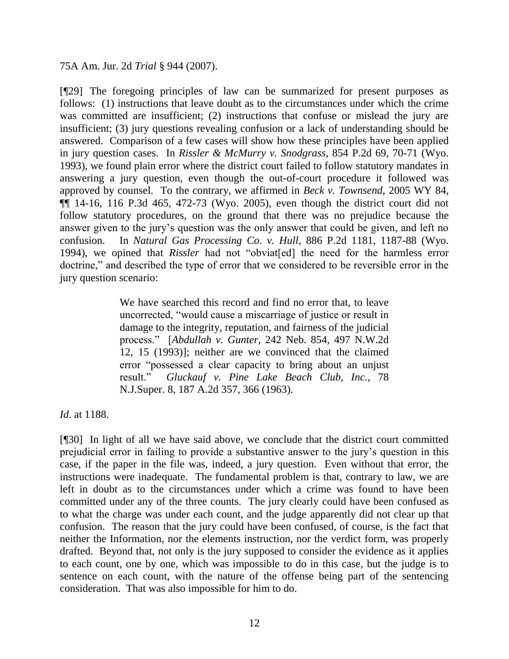75A Am. Jur. 2d *Trial* § 944 (2007).

[¶29] The foregoing principles of law can be summarized for present purposes as follows: (1) instructions that leave doubt as to the circumstances under which the crime was committed are insufficient; (2) instructions that confuse or mislead the jury are insufficient; (3) jury questions revealing confusion or a lack of understanding should be answered. Comparison of a few cases will show how these principles have been applied in jury question cases. In *Rissler & McMurry v. Snodgrass*, 854 P.2d 69, 70-71 (Wyo. 1993), we found plain error where the district court failed to follow statutory mandates in answering a jury question, even though the out-of-court procedure it followed was approved by counsel. To the contrary, we affirmed in *Beck v. Townsend*, 2005 WY 84,  $\P$ [ 14-16, 116 P.3d 465, 472-73 (Wyo. 2005), even though the district court did not follow statutory procedures, on the ground that there was no prejudice because the answer given to the jury's question was the only answer that could be given, and left no confusion. In *Natural Gas Processing Co. v. Hull*, 886 P.2d 1181, 1187-88 (Wyo. 1994), we opined that *Rissler* had not "obviat[ed] the need for the harmless error doctrine," and described the type of error that we considered to be reversible error in the jury question scenario:

> We have searched this record and find no error that, to leave uncorrected, "would cause a miscarriage of justice or result in damage to the integrity, reputation, and fairness of the judicial process.‖ [*Abdullah v. Gunter*, 242 Neb. 854, 497 N.W.2d 12, 15 (1993)]; neither are we convinced that the claimed error "possessed a clear capacity to bring about an unjust result.‖ *Gluckauf v. Pine Lake Beach Club, Inc.*, 78 N.J.Super. 8, 187 A.2d 357, 366 (1963).

*Id*. at 1188.

[¶30] In light of all we have said above, we conclude that the district court committed prejudicial error in failing to provide a substantive answer to the jury's question in this case, if the paper in the file was, indeed, a jury question. Even without that error, the instructions were inadequate. The fundamental problem is that, contrary to law, we are left in doubt as to the circumstances under which a crime was found to have been committed under any of the three counts. The jury clearly could have been confused as to what the charge was under each count, and the judge apparently did not clear up that confusion. The reason that the jury could have been confused, of course, is the fact that neither the Information, nor the elements instruction, nor the verdict form, was properly drafted. Beyond that, not only is the jury supposed to consider the evidence as it applies to each count, one by one, which was impossible to do in this case, but the judge is to sentence on each count, with the nature of the offense being part of the sentencing consideration. That was also impossible for him to do.